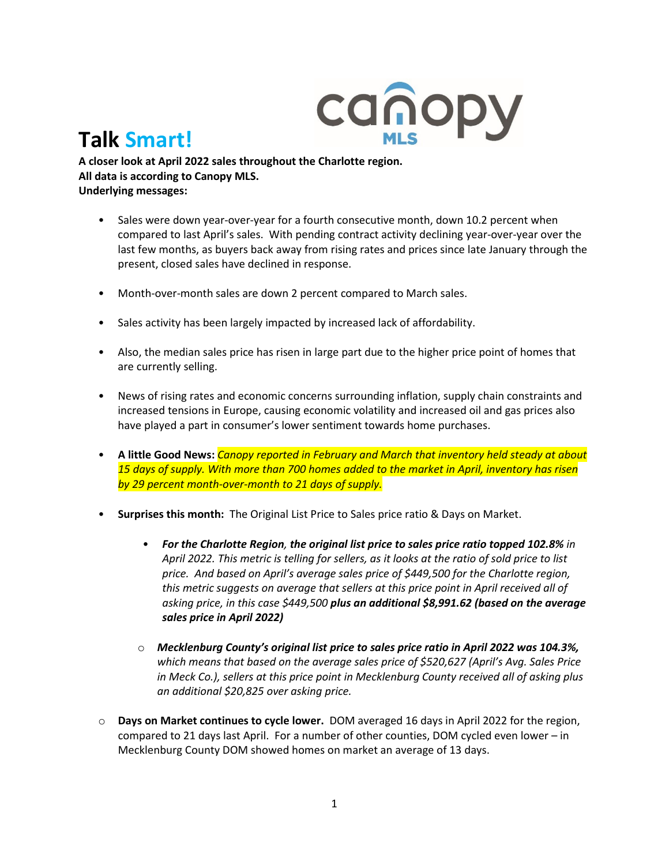

## **Talk Smart!**

**A closer look at April 2022 sales throughout the Charlotte region. All data is according to Canopy MLS. Underlying messages:** 

- Sales were down year-over-year for a fourth consecutive month, down 10.2 percent when compared to last April's sales. With pending contract activity declining year-over-year over the last few months, as buyers back away from rising rates and prices since late January through the present, closed sales have declined in response.
- Month-over-month sales are down 2 percent compared to March sales.
- Sales activity has been largely impacted by increased lack of affordability.
- Also, the median sales price has risen in large part due to the higher price point of homes that are currently selling.
- News of rising rates and economic concerns surrounding inflation, supply chain constraints and increased tensions in Europe, causing economic volatility and increased oil and gas prices also have played a part in consumer's lower sentiment towards home purchases.
- **A little Good News:** *Canopy reported in February and March that inventory held steady at about 15 days of supply. With more than 700 homes added to the market in April, inventory has risen by 29 percent month-over-month to 21 days of supply.*
- **Surprises this month:** The Original List Price to Sales price ratio & Days on Market.
	- *For the Charlotte Region, the original list price to sales price ratio topped 102.8% in April 2022. This metric is telling for sellers, as it looks at the ratio of sold price to list price. And based on April's average sales price of \$449,500 for the Charlotte region, this metric suggests on average that sellers at this price point in April received all of asking price, in this case \$449,500 plus an additional \$8,991.62 (based on the average sales price in April 2022)*
	- o *Mecklenburg County's original list price to sales price ratio in April 2022 was 104.3%, which means that based on the average sales price of \$520,627 (April's Avg. Sales Price in Meck Co.), sellers at this price point in Mecklenburg County received all of asking plus an additional \$20,825 over asking price.*
- o **Days on Market continues to cycle lower.** DOM averaged 16 days in April 2022 for the region, compared to 21 days last April. For a number of other counties, DOM cycled even lower – in Mecklenburg County DOM showed homes on market an average of 13 days.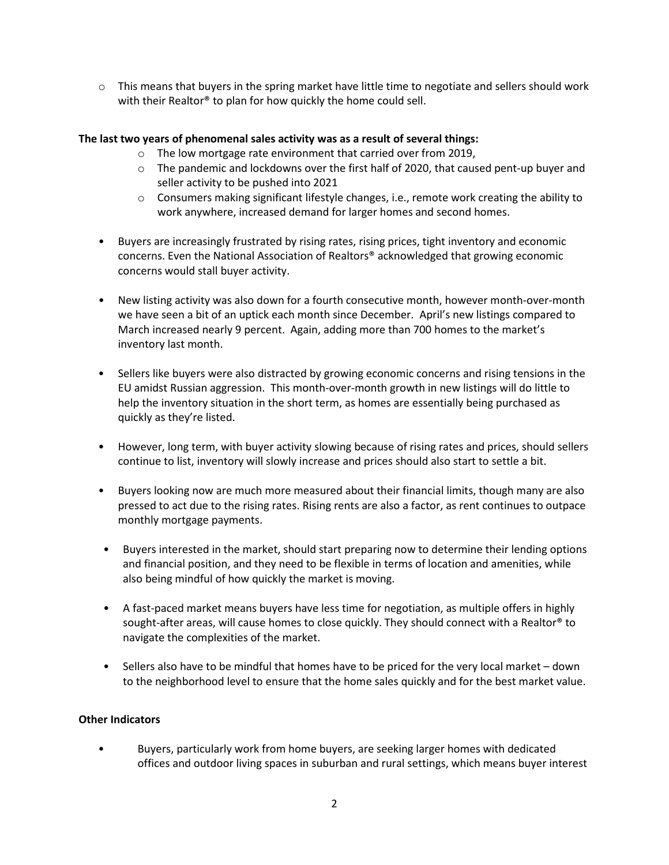$\circ$  This means that buyers in the spring market have little time to negotiate and sellers should work with their Realtor® to plan for how quickly the home could sell.

## **The last two years of phenomenal sales activity was as a result of several things:**

- o The low mortgage rate environment that carried over from 2019,
- $\circ$  The pandemic and lockdowns over the first half of 2020, that caused pent-up buyer and seller activity to be pushed into 2021
- $\circ$  Consumers making significant lifestyle changes, i.e., remote work creating the ability to work anywhere, increased demand for larger homes and second homes.
- Buyers are increasingly frustrated by rising rates, rising prices, tight inventory and economic concerns. Even the National Association of Realtors® acknowledged that growing economic concerns would stall buyer activity.
- New listing activity was also down for a fourth consecutive month, however month-over-month we have seen a bit of an uptick each month since December. April's new listings compared to March increased nearly 9 percent. Again, adding more than 700 homes to the market's inventory last month.
- Sellers like buyers were also distracted by growing economic concerns and rising tensions in the EU amidst Russian aggression. This month-over-month growth in new listings will do little to help the inventory situation in the short term, as homes are essentially being purchased as quickly as they're listed.
- However, long term, with buyer activity slowing because of rising rates and prices, should sellers continue to list, inventory will slowly increase and prices should also start to settle a bit.
- Buyers looking now are much more measured about their financial limits, though many are also pressed to act due to the rising rates. Rising rents are also a factor, as rent continues to outpace monthly mortgage payments.
- Buyers interested in the market, should start preparing now to determine their lending options and financial position, and they need to be flexible in terms of location and amenities, while also being mindful of how quickly the market is moving.
- A fast-paced market means buyers have less time for negotiation, as multiple offers in highly sought-after areas, will cause homes to close quickly. They should connect with a Realtor® to navigate the complexities of the market.
- Sellers also have to be mindful that homes have to be priced for the very local market down to the neighborhood level to ensure that the home sales quickly and for the best market value.

## **Other Indicators**

• Buyers, particularly work from home buyers, are seeking larger homes with dedicated offices and outdoor living spaces in suburban and rural settings, which means buyer interest